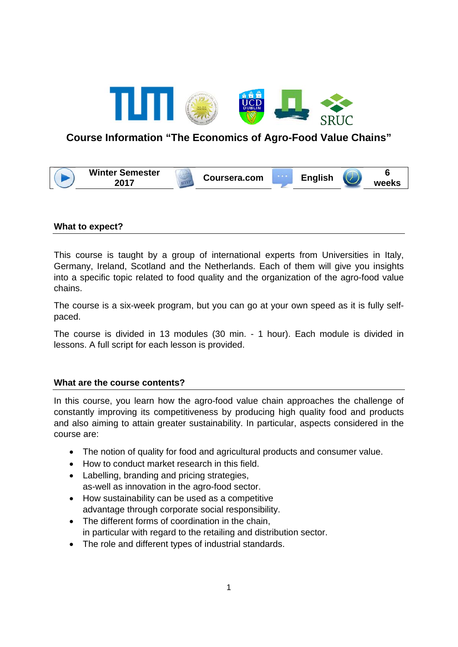

# **Course Information "The Economics of Agro-Food Value Chains"**

| <b>Winter Semester</b><br>へへィラ | Coursera.com | ∠nglish |  | weeks |
|--------------------------------|--------------|---------|--|-------|
|--------------------------------|--------------|---------|--|-------|

#### **What to expect?**

This course is taught by a group of international experts from Universities in Italy, Germany, Ireland, Scotland and the Netherlands. Each of them will give you insights into a specific topic related to food quality and the organization of the agro-food value chains.

The course is a six-week program, but you can go at your own speed as it is fully selfpaced.

The course is divided in 13 modules (30 min. - 1 hour). Each module is divided in lessons. A full script for each lesson is provided.

#### **What are the course contents?**

In this course, you learn how the agro-food value chain approaches the challenge of constantly improving its competitiveness by producing high quality food and products and also aiming to attain greater sustainability. In particular, aspects considered in the course are:

- The notion of quality for food and agricultural products and consumer value.
- How to conduct market research in this field.
- Labelling, branding and pricing strategies, as-well as innovation in the agro-food sector.
- How sustainability can be used as a competitive advantage through corporate social responsibility.
- The different forms of coordination in the chain, in particular with regard to the retailing and distribution sector.
- The role and different types of industrial standards.